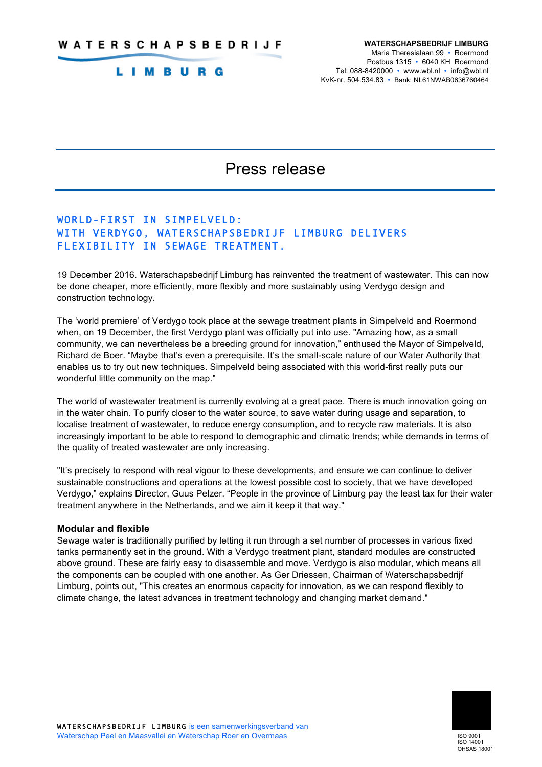# **LIMBURG**

# Press release

# WORLD-FIRST IN SIMPELVELD: WITH VERDYGO, WATERSCHAPSBEDRIJF LIMBURG DELIVERS FLEXIBILITY IN SEWAGE TREATMENT.

19 December 2016. Waterschapsbedrijf Limburg has reinvented the treatment of wastewater. This can now be done cheaper, more efficiently, more flexibly and more sustainably using Verdygo design and construction technology.

The 'world premiere' of Verdygo took place at the sewage treatment plants in Simpelveld and Roermond when, on 19 December, the first Verdygo plant was officially put into use. "Amazing how, as a small community, we can nevertheless be a breeding ground for innovation," enthused the Mayor of Simpelveld, Richard de Boer. "Maybe that's even a prerequisite. It's the small-scale nature of our Water Authority that enables us to try out new techniques. Simpelveld being associated with this world-first really puts our wonderful little community on the map."

The world of wastewater treatment is currently evolving at a great pace. There is much innovation going on in the water chain. To purify closer to the water source, to save water during usage and separation, to localise treatment of wastewater, to reduce energy consumption, and to recycle raw materials. It is also increasingly important to be able to respond to demographic and climatic trends; while demands in terms of the quality of treated wastewater are only increasing.

"It's precisely to respond with real vigour to these developments, and ensure we can continue to deliver sustainable constructions and operations at the lowest possible cost to society, that we have developed Verdygo," explains Director, Guus Pelzer. "People in the province of Limburg pay the least tax for their water treatment anywhere in the Netherlands, and we aim it keep it that way."

### **Modular and flexible**

Sewage water is traditionally purified by letting it run through a set number of processes in various fixed tanks permanently set in the ground. With a Verdygo treatment plant, standard modules are constructed above ground. These are fairly easy to disassemble and move. Verdygo is also modular, which means all the components can be coupled with one another. As Ger Driessen, Chairman of Waterschapsbedrijf Limburg, points out, "This creates an enormous capacity for innovation, as we can respond flexibly to climate change, the latest advances in treatment technology and changing market demand."